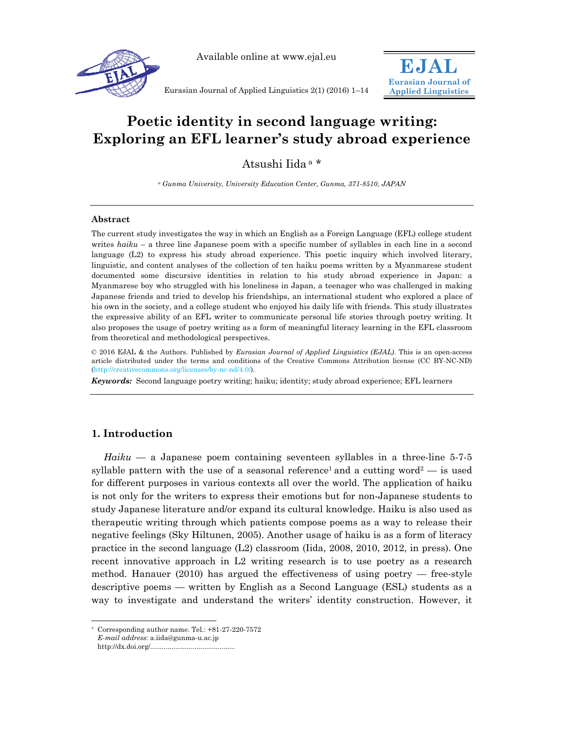

Available online at www.ejal.eu



Eurasian Journal of Applied Linguistics 2(1) (2016) 1–14

# **Poetic identity in second language writing: Exploring an EFL learner's study abroad experience**

Atsushi Iida a \*

*a Gunma University, University Education Center, Gunma, 371-8510, JAPAN* 

#### **Abstract**

The current study investigates the way in which an English as a Foreign Language (EFL) college student writes *haiku* – a three line Japanese poem with a specific number of syllables in each line in a second language (L2) to express his study abroad experience. This poetic inquiry which involved literary, linguistic, and content analyses of the collection of ten haiku poems written by a Myanmarese student documented some discursive identities in relation to his study abroad experience in Japan: a Myanmarese boy who struggled with his loneliness in Japan, a teenager who was challenged in making Japanese friends and tried to develop his friendships, an international student who explored a place of his own in the society, and a college student who enjoyed his daily life with friends. This study illustrates the expressive ability of an EFL writer to communicate personal life stories through poetry writing. It also proposes the usage of poetry writing as a form of meaningful literacy learning in the EFL classroom from theoretical and methodological perspectives.

© 2016 EJAL & the Authors. Published by *Eurasian Journal of Applied Linguistics (EJAL)*. This is an open-access article distributed under the terms and conditions of the Creative Commons Attribution license (CC BY-NC-ND) (http://creativecommons.org/licenses/by-nc-nd/4.0/).

*Keywords:* Second language poetry writing; haiku; identity; study abroad experience; EFL learners

# **1. Introduction**

*Haiku* — a Japanese poem containing seventeen syllables in a three-line 5-7-5 syllable pattern with the use of a seasonal reference<sup>1</sup> and a cutting word<sup>2</sup> — is used for different purposes in various contexts all over the world. The application of haiku is not only for the writers to express their emotions but for non-Japanese students to study Japanese literature and/or expand its cultural knowledge. Haiku is also used as therapeutic writing through which patients compose poems as a way to release their negative feelings (Sky Hiltunen, 2005). Another usage of haiku is as a form of literacy practice in the second language (L2) classroom (Iida, 2008, 2010, 2012, in press). One recent innovative approach in L2 writing research is to use poetry as a research method. Hanauer  $(2010)$  has argued the effectiveness of using poetry — free-style descriptive poems — written by English as a Second Language (ESL) students as a way to investigate and understand the writers' identity construction. However, it

l

Corresponding author name. Tel.:  $+81-27-220-7572$ 

*E-mail address*: a.iida@gunma-u.ac.jp http://dx.doi.org/............................................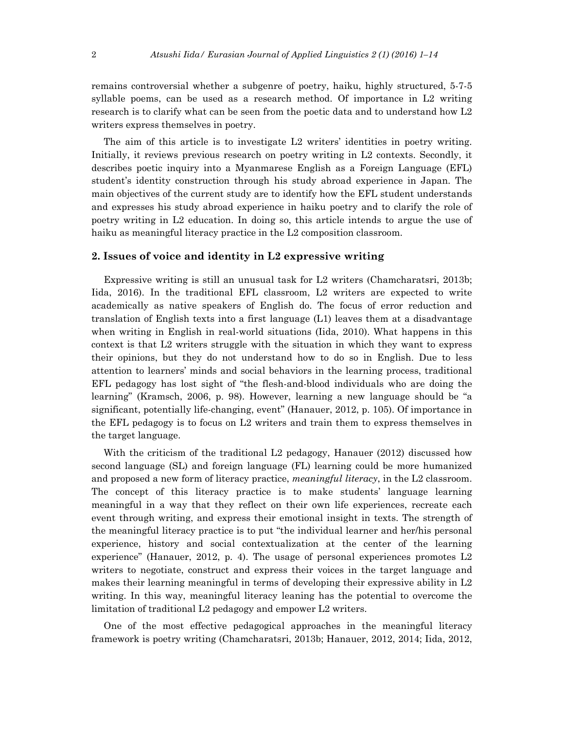remains controversial whether a subgenre of poetry, haiku, highly structured, 5-7-5 syllable poems, can be used as a research method. Of importance in L2 writing research is to clarify what can be seen from the poetic data and to understand how L2 writers express themselves in poetry.

The aim of this article is to investigate L2 writers' identities in poetry writing. Initially, it reviews previous research on poetry writing in L2 contexts. Secondly, it describes poetic inquiry into a Myanmarese English as a Foreign Language (EFL) student's identity construction through his study abroad experience in Japan. The main objectives of the current study are to identify how the EFL student understands and expresses his study abroad experience in haiku poetry and to clarify the role of poetry writing in L2 education. In doing so, this article intends to argue the use of haiku as meaningful literacy practice in the L2 composition classroom.

## **2. Issues of voice and identity in L2 expressive writing**

Expressive writing is still an unusual task for L2 writers (Chamcharatsri, 2013b; Iida, 2016). In the traditional EFL classroom, L2 writers are expected to write academically as native speakers of English do. The focus of error reduction and translation of English texts into a first language (L1) leaves them at a disadvantage when writing in English in real-world situations (Iida, 2010). What happens in this context is that L2 writers struggle with the situation in which they want to express their opinions, but they do not understand how to do so in English. Due to less attention to learners' minds and social behaviors in the learning process, traditional EFL pedagogy has lost sight of "the flesh-and-blood individuals who are doing the learning" (Kramsch, 2006, p. 98). However, learning a new language should be "a significant, potentially life-changing, event" (Hanauer, 2012, p. 105). Of importance in the EFL pedagogy is to focus on L2 writers and train them to express themselves in the target language.

With the criticism of the traditional L2 pedagogy, Hanauer (2012) discussed how second language (SL) and foreign language (FL) learning could be more humanized and proposed a new form of literacy practice, *meaningful literacy*, in the L2 classroom. The concept of this literacy practice is to make students' language learning meaningful in a way that they reflect on their own life experiences, recreate each event through writing, and express their emotional insight in texts. The strength of the meaningful literacy practice is to put "the individual learner and her/his personal experience, history and social contextualization at the center of the learning experience" (Hanauer, 2012, p. 4). The usage of personal experiences promotes L2 writers to negotiate, construct and express their voices in the target language and makes their learning meaningful in terms of developing their expressive ability in L2 writing. In this way, meaningful literacy leaning has the potential to overcome the limitation of traditional L2 pedagogy and empower L2 writers.

One of the most effective pedagogical approaches in the meaningful literacy framework is poetry writing (Chamcharatsri, 2013b; Hanauer, 2012, 2014; Iida, 2012,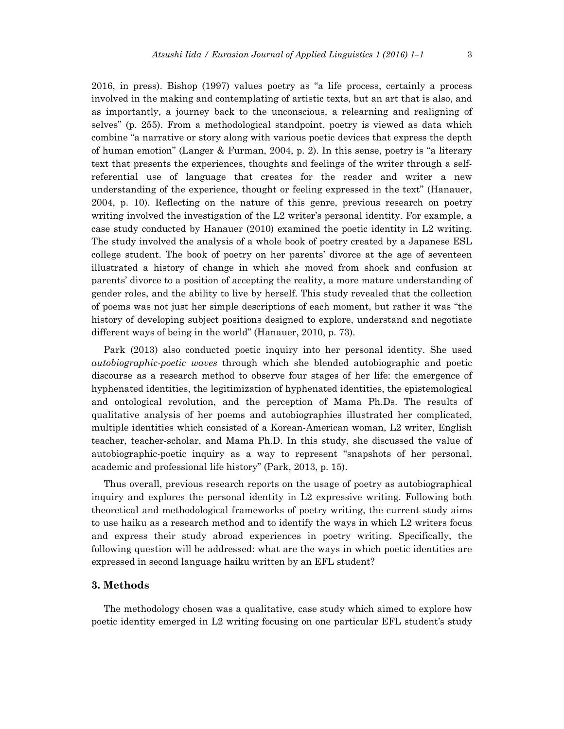2016, in press). Bishop (1997) values poetry as "a life process, certainly a process involved in the making and contemplating of artistic texts, but an art that is also, and as importantly, a journey back to the unconscious, a relearning and realigning of selves" (p. 255). From a methodological standpoint, poetry is viewed as data which combine "a narrative or story along with various poetic devices that express the depth of human emotion" (Langer & Furman, 2004, p. 2). In this sense, poetry is "a literary text that presents the experiences, thoughts and feelings of the writer through a selfreferential use of language that creates for the reader and writer a new understanding of the experience, thought or feeling expressed in the text" (Hanauer, 2004, p. 10). Reflecting on the nature of this genre, previous research on poetry writing involved the investigation of the L2 writer's personal identity. For example, a case study conducted by Hanauer (2010) examined the poetic identity in L2 writing. The study involved the analysis of a whole book of poetry created by a Japanese ESL college student. The book of poetry on her parents' divorce at the age of seventeen illustrated a history of change in which she moved from shock and confusion at parents' divorce to a position of accepting the reality, a more mature understanding of gender roles, and the ability to live by herself. This study revealed that the collection of poems was not just her simple descriptions of each moment, but rather it was "the history of developing subject positions designed to explore, understand and negotiate different ways of being in the world" (Hanauer, 2010, p. 73).

Park (2013) also conducted poetic inquiry into her personal identity. She used *autobiographic-poetic waves* through which she blended autobiographic and poetic discourse as a research method to observe four stages of her life: the emergence of hyphenated identities, the legitimization of hyphenated identities, the epistemological and ontological revolution, and the perception of Mama Ph.Ds. The results of qualitative analysis of her poems and autobiographies illustrated her complicated, multiple identities which consisted of a Korean-American woman, L2 writer, English teacher, teacher-scholar, and Mama Ph.D. In this study, she discussed the value of autobiographic-poetic inquiry as a way to represent "snapshots of her personal, academic and professional life history" (Park, 2013, p. 15).

Thus overall, previous research reports on the usage of poetry as autobiographical inquiry and explores the personal identity in L2 expressive writing. Following both theoretical and methodological frameworks of poetry writing, the current study aims to use haiku as a research method and to identify the ways in which L2 writers focus and express their study abroad experiences in poetry writing. Specifically, the following question will be addressed: what are the ways in which poetic identities are expressed in second language haiku written by an EFL student?

## **3. Methods**

The methodology chosen was a qualitative, case study which aimed to explore how poetic identity emerged in L2 writing focusing on one particular EFL student's study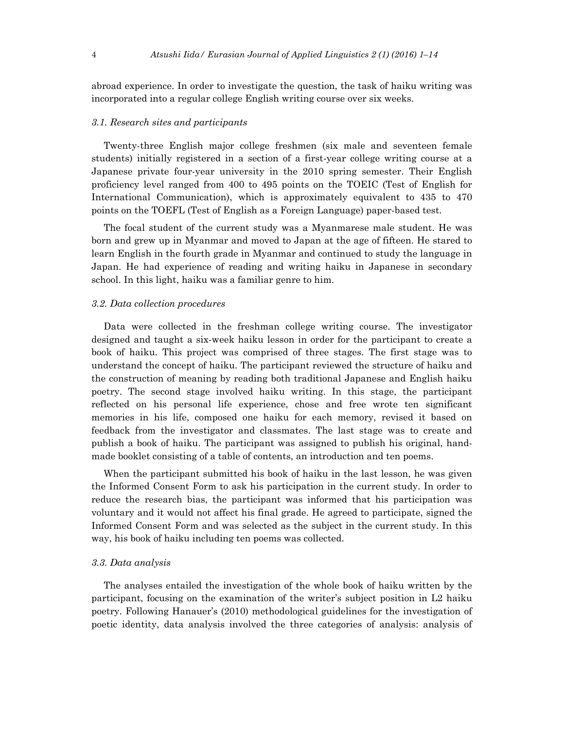abroad experience. In order to investigate the question, the task of haiku writing was incorporated into a regular college English writing course over six weeks.

## *3.1. Research sites and participants*

Twenty-three English major college freshmen (six male and seventeen female students) initially registered in a section of a first-year college writing course at a Japanese private four-year university in the 2010 spring semester. Their English proficiency level ranged from 400 to 495 points on the TOEIC (Test of English for International Communication), which is approximately equivalent to 435 to 470 points on the TOEFL (Test of English as a Foreign Language) paper-based test.

The focal student of the current study was a Myanmarese male student. He was born and grew up in Myanmar and moved to Japan at the age of fifteen. He stared to learn English in the fourth grade in Myanmar and continued to study the language in Japan. He had experience of reading and writing haiku in Japanese in secondary school. In this light, haiku was a familiar genre to him.

#### *3.2. Data collection procedures*

Data were collected in the freshman college writing course. The investigator designed and taught a six-week haiku lesson in order for the participant to create a book of haiku. This project was comprised of three stages. The first stage was to understand the concept of haiku. The participant reviewed the structure of haiku and the construction of meaning by reading both traditional Japanese and English haiku poetry. The second stage involved haiku writing. In this stage, the participant reflected on his personal life experience, chose and free wrote ten significant memories in his life, composed one haiku for each memory, revised it based on feedback from the investigator and classmates. The last stage was to create and publish a book of haiku. The participant was assigned to publish his original, handmade booklet consisting of a table of contents, an introduction and ten poems.

When the participant submitted his book of haiku in the last lesson, he was given the Informed Consent Form to ask his participation in the current study. In order to reduce the research bias, the participant was informed that his participation was voluntary and it would not affect his final grade. He agreed to participate, signed the Informed Consent Form and was selected as the subject in the current study. In this way, his book of haiku including ten poems was collected.

#### *3.3. Data analysis*

The analyses entailed the investigation of the whole book of haiku written by the participant, focusing on the examination of the writer's subject position in L2 haiku poetry. Following Hanauer's (2010) methodological guidelines for the investigation of poetic identity, data analysis involved the three categories of analysis: analysis of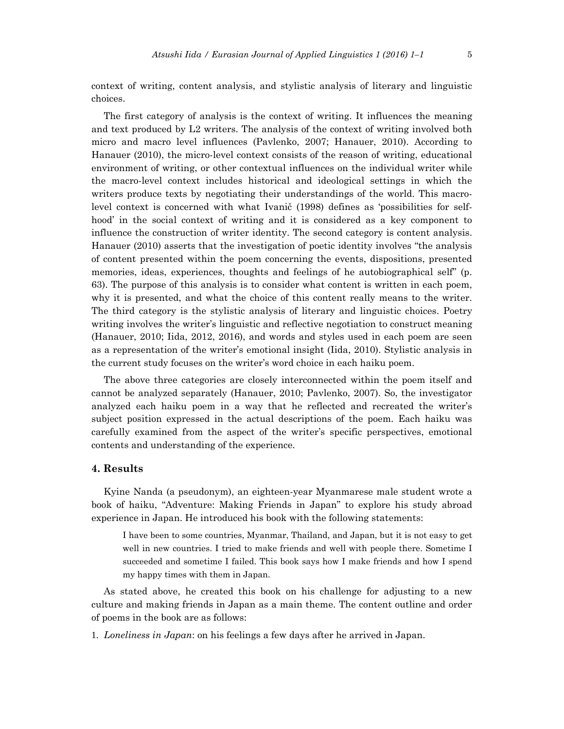context of writing, content analysis, and stylistic analysis of literary and linguistic choices.

The first category of analysis is the context of writing. It influences the meaning and text produced by L2 writers. The analysis of the context of writing involved both micro and macro level influences (Pavlenko, 2007; Hanauer, 2010). According to Hanauer (2010), the micro-level context consists of the reason of writing, educational environment of writing, or other contextual influences on the individual writer while the macro-level context includes historical and ideological settings in which the writers produce texts by negotiating their understandings of the world. This macrolevel context is concerned with what Ivanič (1998) defines as 'possibilities for selfhood' in the social context of writing and it is considered as a key component to influence the construction of writer identity. The second category is content analysis. Hanauer (2010) asserts that the investigation of poetic identity involves "the analysis of content presented within the poem concerning the events, dispositions, presented memories, ideas, experiences, thoughts and feelings of he autobiographical self" (p. 63). The purpose of this analysis is to consider what content is written in each poem, why it is presented, and what the choice of this content really means to the writer. The third category is the stylistic analysis of literary and linguistic choices. Poetry writing involves the writer's linguistic and reflective negotiation to construct meaning (Hanauer, 2010; Iida, 2012, 2016), and words and styles used in each poem are seen as a representation of the writer's emotional insight (Iida, 2010). Stylistic analysis in the current study focuses on the writer's word choice in each haiku poem.

The above three categories are closely interconnected within the poem itself and cannot be analyzed separately (Hanauer, 2010; Pavlenko, 2007). So, the investigator analyzed each haiku poem in a way that he reflected and recreated the writer's subject position expressed in the actual descriptions of the poem. Each haiku was carefully examined from the aspect of the writer's specific perspectives, emotional contents and understanding of the experience.

#### **4. Results**

Kyine Nanda (a pseudonym), an eighteen-year Myanmarese male student wrote a book of haiku, "Adventure: Making Friends in Japan" to explore his study abroad experience in Japan. He introduced his book with the following statements:

I have been to some countries, Myanmar, Thailand, and Japan, but it is not easy to get well in new countries. I tried to make friends and well with people there. Sometime I succeeded and sometime I failed. This book says how I make friends and how I spend my happy times with them in Japan.

As stated above, he created this book on his challenge for adjusting to a new culture and making friends in Japan as a main theme. The content outline and order of poems in the book are as follows:

1. *Loneliness in Japan*: on his feelings a few days after he arrived in Japan.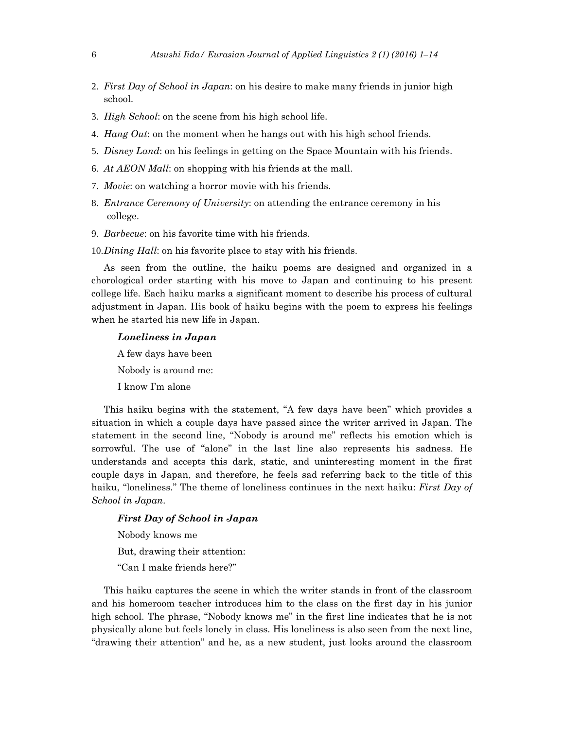- 2. *First Day of School in Japan*: on his desire to make many friends in junior high school.
- 3. *High School*: on the scene from his high school life.
- 4. *Hang Out*: on the moment when he hangs out with his high school friends.
- 5. *Disney Land*: on his feelings in getting on the Space Mountain with his friends.
- 6. *At AEON Mall*: on shopping with his friends at the mall.
- 7. *Movie*: on watching a horror movie with his friends.
- 8. *Entrance Ceremony of University*: on attending the entrance ceremony in his college.
- 9. *Barbecue*: on his favorite time with his friends.
- 10.*Dining Hall*: on his favorite place to stay with his friends.

As seen from the outline, the haiku poems are designed and organized in a chorological order starting with his move to Japan and continuing to his present college life. Each haiku marks a significant moment to describe his process of cultural adjustment in Japan. His book of haiku begins with the poem to express his feelings when he started his new life in Japan.

## *Loneliness in Japan*

A few days have been

Nobody is around me:

I know I'm alone

This haiku begins with the statement, "A few days have been" which provides a situation in which a couple days have passed since the writer arrived in Japan. The statement in the second line, "Nobody is around me" reflects his emotion which is sorrowful. The use of "alone" in the last line also represents his sadness. He understands and accepts this dark, static, and uninteresting moment in the first couple days in Japan, and therefore, he feels sad referring back to the title of this haiku, "loneliness." The theme of loneliness continues in the next haiku: *First Day of School in Japan*.

# *First Day of School in Japan*

Nobody knows me

But, drawing their attention:

"Can I make friends here?"

This haiku captures the scene in which the writer stands in front of the classroom and his homeroom teacher introduces him to the class on the first day in his junior high school. The phrase, "Nobody knows me" in the first line indicates that he is not physically alone but feels lonely in class. His loneliness is also seen from the next line, "drawing their attention" and he, as a new student, just looks around the classroom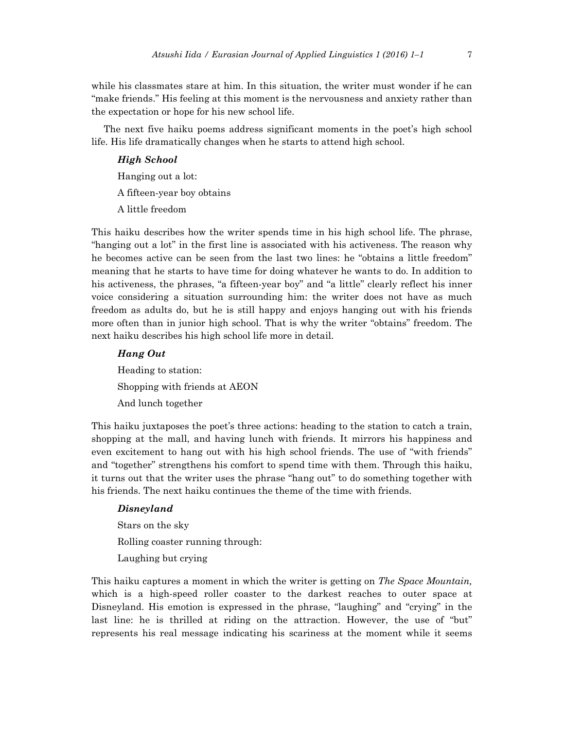while his classmates stare at him. In this situation, the writer must wonder if he can "make friends." His feeling at this moment is the nervousness and anxiety rather than the expectation or hope for his new school life.

The next five haiku poems address significant moments in the poet's high school life. His life dramatically changes when he starts to attend high school.

#### *High School*

Hanging out a lot:

A fifteen-year boy obtains

A little freedom

This haiku describes how the writer spends time in his high school life. The phrase, "hanging out a lot" in the first line is associated with his activeness. The reason why he becomes active can be seen from the last two lines: he "obtains a little freedom" meaning that he starts to have time for doing whatever he wants to do. In addition to his activeness, the phrases, "a fifteen-year boy" and "a little" clearly reflect his inner voice considering a situation surrounding him: the writer does not have as much freedom as adults do, but he is still happy and enjoys hanging out with his friends more often than in junior high school. That is why the writer "obtains" freedom. The next haiku describes his high school life more in detail.

## *Hang Out*

Heading to station: Shopping with friends at AEON And lunch together

This haiku juxtaposes the poet's three actions: heading to the station to catch a train, shopping at the mall, and having lunch with friends. It mirrors his happiness and even excitement to hang out with his high school friends. The use of "with friends" and "together" strengthens his comfort to spend time with them. Through this haiku, it turns out that the writer uses the phrase "hang out" to do something together with his friends. The next haiku continues the theme of the time with friends.

### *Disneyland*

Stars on the sky Rolling coaster running through: Laughing but crying

This haiku captures a moment in which the writer is getting on *The Space Mountain,*  which is a high-speed roller coaster to the darkest reaches to outer space at Disneyland. His emotion is expressed in the phrase, "laughing" and "crying" in the last line: he is thrilled at riding on the attraction. However, the use of "but" represents his real message indicating his scariness at the moment while it seems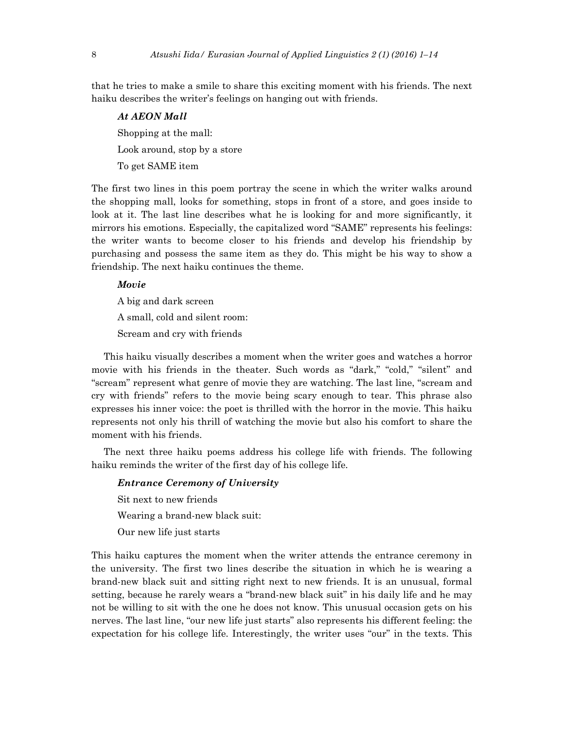that he tries to make a smile to share this exciting moment with his friends. The next haiku describes the writer's feelings on hanging out with friends.

*At AEON Mall*  Shopping at the mall: Look around, stop by a store To get SAME item

The first two lines in this poem portray the scene in which the writer walks around the shopping mall, looks for something, stops in front of a store, and goes inside to look at it. The last line describes what he is looking for and more significantly, it mirrors his emotions. Especially, the capitalized word "SAME" represents his feelings: the writer wants to become closer to his friends and develop his friendship by purchasing and possess the same item as they do. This might be his way to show a friendship. The next haiku continues the theme.

## *Movie*

A big and dark screen A small, cold and silent room: Scream and cry with friends

This haiku visually describes a moment when the writer goes and watches a horror movie with his friends in the theater. Such words as "dark," "cold," "silent" and "scream" represent what genre of movie they are watching. The last line, "scream and cry with friends" refers to the movie being scary enough to tear. This phrase also expresses his inner voice: the poet is thrilled with the horror in the movie. This haiku represents not only his thrill of watching the movie but also his comfort to share the moment with his friends.

The next three haiku poems address his college life with friends. The following haiku reminds the writer of the first day of his college life.

#### *Entrance Ceremony of University*

Sit next to new friends Wearing a brand-new black suit: Our new life just starts

This haiku captures the moment when the writer attends the entrance ceremony in the university. The first two lines describe the situation in which he is wearing a brand-new black suit and sitting right next to new friends. It is an unusual, formal setting, because he rarely wears a "brand-new black suit" in his daily life and he may not be willing to sit with the one he does not know. This unusual occasion gets on his nerves. The last line, "our new life just starts" also represents his different feeling: the expectation for his college life. Interestingly, the writer uses "our" in the texts. This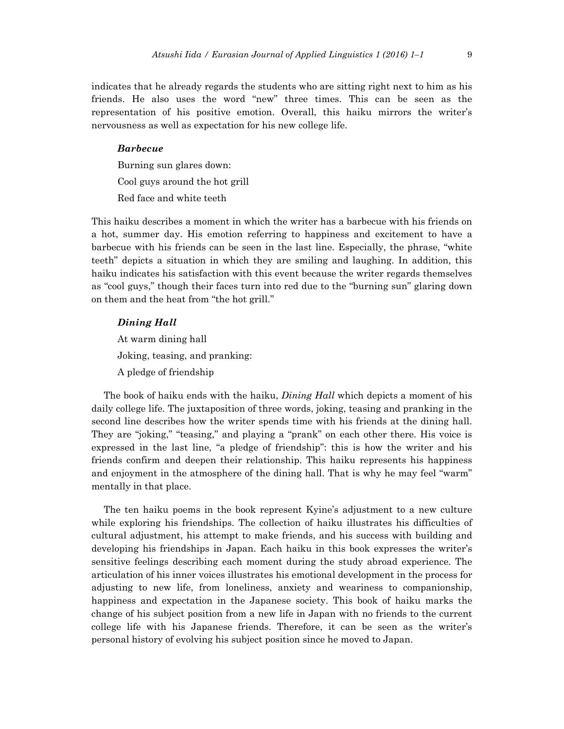indicates that he already regards the students who are sitting right next to him as his friends. He also uses the word "new" three times. This can be seen as the representation of his positive emotion. Overall, this haiku mirrors the writer's nervousness as well as expectation for his new college life.

## *Barbecue*

Burning sun glares down: Cool guys around the hot grill Red face and white teeth

This haiku describes a moment in which the writer has a barbecue with his friends on a hot, summer day. His emotion referring to happiness and excitement to have a barbecue with his friends can be seen in the last line. Especially, the phrase, "white teeth" depicts a situation in which they are smiling and laughing. In addition, this haiku indicates his satisfaction with this event because the writer regards themselves as "cool guys," though their faces turn into red due to the "burning sun" glaring down on them and the heat from "the hot grill."

### *Dining Hall*

At warm dining hall Joking, teasing, and pranking: A pledge of friendship

 The book of haiku ends with the haiku, *Dining Hall* which depicts a moment of his daily college life. The juxtaposition of three words, joking, teasing and pranking in the second line describes how the writer spends time with his friends at the dining hall. They are "joking," "teasing," and playing a "prank" on each other there. His voice is expressed in the last line, "a pledge of friendship": this is how the writer and his friends confirm and deepen their relationship. This haiku represents his happiness and enjoyment in the atmosphere of the dining hall. That is why he may feel "warm" mentally in that place.

 The ten haiku poems in the book represent Kyine's adjustment to a new culture while exploring his friendships. The collection of haiku illustrates his difficulties of cultural adjustment, his attempt to make friends, and his success with building and developing his friendships in Japan. Each haiku in this book expresses the writer's sensitive feelings describing each moment during the study abroad experience. The articulation of his inner voices illustrates his emotional development in the process for adjusting to new life, from loneliness, anxiety and weariness to companionship, happiness and expectation in the Japanese society. This book of haiku marks the change of his subject position from a new life in Japan with no friends to the current college life with his Japanese friends. Therefore, it can be seen as the writer's personal history of evolving his subject position since he moved to Japan.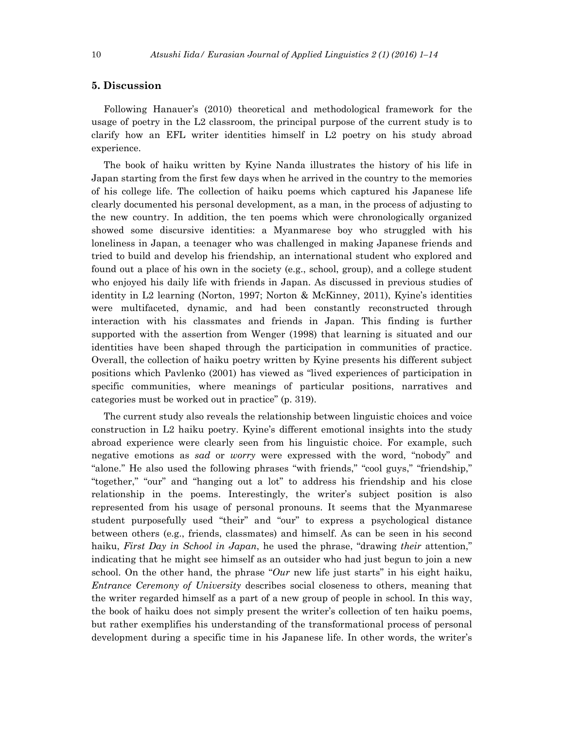# **5. Discussion**

Following Hanauer's (2010) theoretical and methodological framework for the usage of poetry in the L2 classroom, the principal purpose of the current study is to clarify how an EFL writer identities himself in L2 poetry on his study abroad experience.

The book of haiku written by Kyine Nanda illustrates the history of his life in Japan starting from the first few days when he arrived in the country to the memories of his college life. The collection of haiku poems which captured his Japanese life clearly documented his personal development, as a man, in the process of adjusting to the new country. In addition, the ten poems which were chronologically organized showed some discursive identities: a Myanmarese boy who struggled with his loneliness in Japan, a teenager who was challenged in making Japanese friends and tried to build and develop his friendship, an international student who explored and found out a place of his own in the society (e.g., school, group), and a college student who enjoyed his daily life with friends in Japan. As discussed in previous studies of identity in L2 learning (Norton, 1997; Norton & McKinney, 2011), Kyine's identities were multifaceted, dynamic, and had been constantly reconstructed through interaction with his classmates and friends in Japan. This finding is further supported with the assertion from Wenger (1998) that learning is situated and our identities have been shaped through the participation in communities of practice. Overall, the collection of haiku poetry written by Kyine presents his different subject positions which Pavlenko (2001) has viewed as "lived experiences of participation in specific communities, where meanings of particular positions, narratives and categories must be worked out in practice" (p. 319).

The current study also reveals the relationship between linguistic choices and voice construction in L2 haiku poetry. Kyine's different emotional insights into the study abroad experience were clearly seen from his linguistic choice. For example, such negative emotions as *sad* or *worry* were expressed with the word, "nobody" and "alone." He also used the following phrases "with friends," "cool guys," "friendship," "together," "our" and "hanging out a lot" to address his friendship and his close relationship in the poems. Interestingly, the writer's subject position is also represented from his usage of personal pronouns. It seems that the Myanmarese student purposefully used "their" and "our" to express a psychological distance between others (e.g., friends, classmates) and himself. As can be seen in his second haiku, *First Day in School in Japan*, he used the phrase, "drawing *their* attention," indicating that he might see himself as an outsider who had just begun to join a new school. On the other hand, the phrase "*Our* new life just starts" in his eight haiku, *Entrance Ceremony of University* describes social closeness to others, meaning that the writer regarded himself as a part of a new group of people in school. In this way, the book of haiku does not simply present the writer's collection of ten haiku poems, but rather exemplifies his understanding of the transformational process of personal development during a specific time in his Japanese life. In other words, the writer's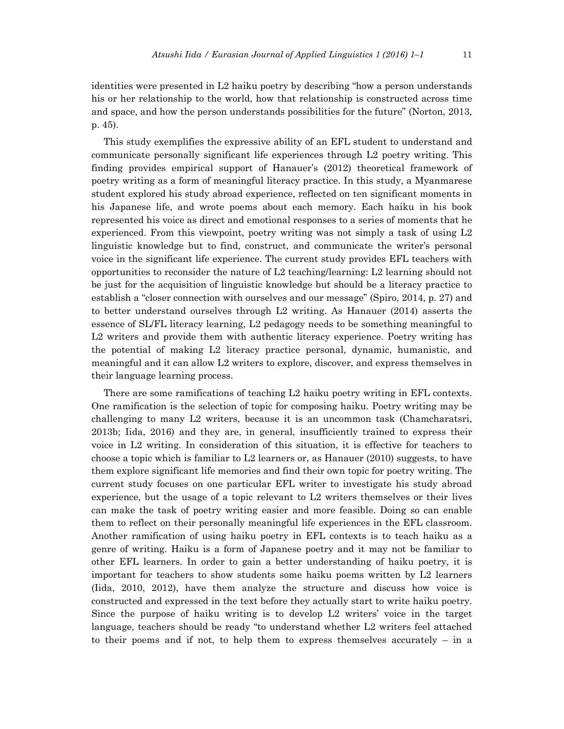identities were presented in L2 haiku poetry by describing "how a person understands his or her relationship to the world, how that relationship is constructed across time and space, and how the person understands possibilities for the future" (Norton, 2013, p. 45).

This study exemplifies the expressive ability of an EFL student to understand and communicate personally significant life experiences through L2 poetry writing. This finding provides empirical support of Hanauer's (2012) theoretical framework of poetry writing as a form of meaningful literacy practice. In this study, a Myanmarese student explored his study abroad experience, reflected on ten significant moments in his Japanese life, and wrote poems about each memory. Each haiku in his book represented his voice as direct and emotional responses to a series of moments that he experienced. From this viewpoint, poetry writing was not simply a task of using L2 linguistic knowledge but to find, construct, and communicate the writer's personal voice in the significant life experience. The current study provides EFL teachers with opportunities to reconsider the nature of L2 teaching/learning: L2 learning should not be just for the acquisition of linguistic knowledge but should be a literacy practice to establish a "closer connection with ourselves and our message" (Spiro, 2014, p. 27) and to better understand ourselves through L2 writing. As Hanauer (2014) asserts the essence of SL/FL literacy learning, L2 pedagogy needs to be something meaningful to L2 writers and provide them with authentic literacy experience. Poetry writing has the potential of making L2 literacy practice personal, dynamic, humanistic, and meaningful and it can allow L2 writers to explore, discover, and express themselves in their language learning process.

There are some ramifications of teaching L2 haiku poetry writing in EFL contexts. One ramification is the selection of topic for composing haiku. Poetry writing may be challenging to many L2 writers, because it is an uncommon task (Chamcharatsri, 2013b; Iida, 2016) and they are, in general, insufficiently trained to express their voice in L2 writing. In consideration of this situation, it is effective for teachers to choose a topic which is familiar to L2 learners or, as Hanauer  $(2010)$  suggests, to have them explore significant life memories and find their own topic for poetry writing. The current study focuses on one particular EFL writer to investigate his study abroad experience, but the usage of a topic relevant to L2 writers themselves or their lives can make the task of poetry writing easier and more feasible. Doing so can enable them to reflect on their personally meaningful life experiences in the EFL classroom. Another ramification of using haiku poetry in EFL contexts is to teach haiku as a genre of writing. Haiku is a form of Japanese poetry and it may not be familiar to other EFL learners. In order to gain a better understanding of haiku poetry, it is important for teachers to show students some haiku poems written by L2 learners (Iida, 2010, 2012), have them analyze the structure and discuss how voice is constructed and expressed in the text before they actually start to write haiku poetry. Since the purpose of haiku writing is to develop L2 writers' voice in the target language, teachers should be ready "to understand whether L2 writers feel attached to their poems and if not, to help them to express themselves accurately – in a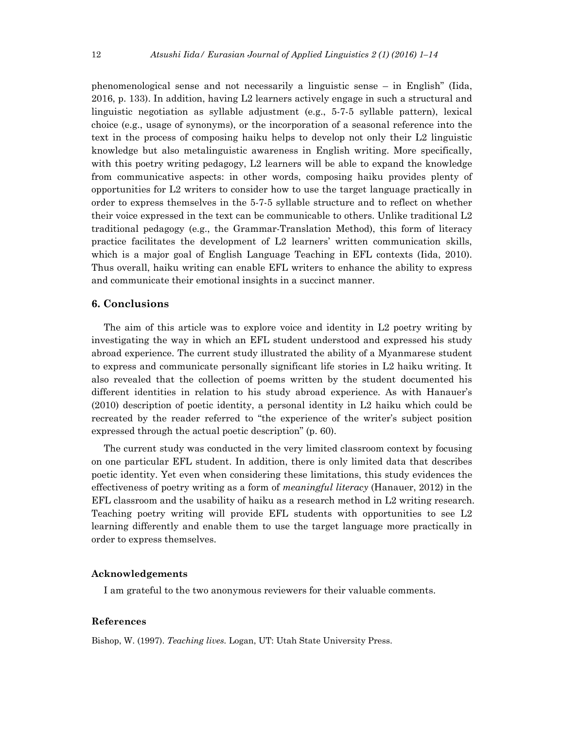phenomenological sense and not necessarily a linguistic sense – in English" (Iida, 2016, p. 133). In addition, having L2 learners actively engage in such a structural and linguistic negotiation as syllable adjustment (e.g., 5-7-5 syllable pattern), lexical choice (e.g., usage of synonyms), or the incorporation of a seasonal reference into the text in the process of composing haiku helps to develop not only their L2 linguistic knowledge but also metalinguistic awareness in English writing. More specifically, with this poetry writing pedagogy, L2 learners will be able to expand the knowledge from communicative aspects: in other words, composing haiku provides plenty of opportunities for L2 writers to consider how to use the target language practically in order to express themselves in the 5-7-5 syllable structure and to reflect on whether their voice expressed in the text can be communicable to others. Unlike traditional L2 traditional pedagogy (e.g., the Grammar-Translation Method), this form of literacy practice facilitates the development of L2 learners' written communication skills, which is a major goal of English Language Teaching in EFL contexts (Iida, 2010). Thus overall, haiku writing can enable EFL writers to enhance the ability to express and communicate their emotional insights in a succinct manner.

## **6. Conclusions**

The aim of this article was to explore voice and identity in L2 poetry writing by investigating the way in which an EFL student understood and expressed his study abroad experience. The current study illustrated the ability of a Myanmarese student to express and communicate personally significant life stories in L2 haiku writing. It also revealed that the collection of poems written by the student documented his different identities in relation to his study abroad experience. As with Hanauer's (2010) description of poetic identity, a personal identity in L2 haiku which could be recreated by the reader referred to "the experience of the writer's subject position expressed through the actual poetic description" (p. 60).

The current study was conducted in the very limited classroom context by focusing on one particular EFL student. In addition, there is only limited data that describes poetic identity. Yet even when considering these limitations, this study evidences the effectiveness of poetry writing as a form of *meaningful literacy* (Hanauer, 2012) in the EFL classroom and the usability of haiku as a research method in L2 writing research. Teaching poetry writing will provide EFL students with opportunities to see L2 learning differently and enable them to use the target language more practically in order to express themselves.

#### **Acknowledgements**

I am grateful to the two anonymous reviewers for their valuable comments.

#### **References**

Bishop, W. (1997). *Teaching lives.* Logan, UT: Utah State University Press.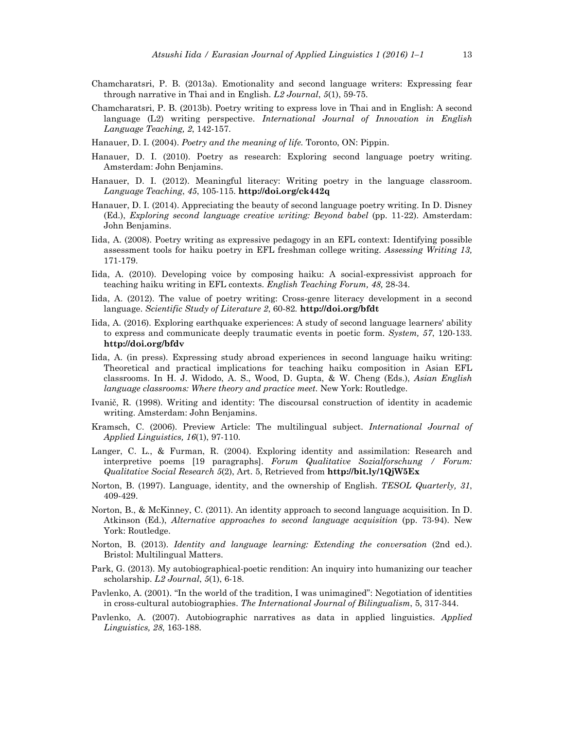- Chamcharatsri, P. B. (2013a). Emotionality and second language writers: Expressing fear through narrative in Thai and in English. *L2 Journal*, *5*(1), 59-75.
- Chamcharatsri, P. B. (2013b). Poetry writing to express love in Thai and in English: A second language (L2) writing perspective. *International Journal of Innovation in English Language Teaching, 2*, 142-157.
- Hanauer, D. I. (2004). *Poetry and the meaning of life.* Toronto, ON: Pippin.
- Hanauer, D. I. (2010). Poetry as research: Exploring second language poetry writing. Amsterdam: John Benjamins.
- Hanauer, D. I. (2012). Meaningful literacy: Writing poetry in the language classroom. *Language Teaching*, *45*, 105-115. **http://doi.org/ck442q**
- Hanauer, D. I. (2014). Appreciating the beauty of second language poetry writing. In D. Disney (Ed.), *Exploring second language creative writing: Beyond babel* (pp. 11-22). Amsterdam: John Benjamins.
- Iida, A. (2008). Poetry writing as expressive pedagogy in an EFL context: Identifying possible assessment tools for haiku poetry in EFL freshman college writing. *Assessing Writing 13,* 171-179.
- Iida, A. (2010). Developing voice by composing haiku: A social-expressivist approach for teaching haiku writing in EFL contexts. *English Teaching Forum, 48,* 28-34.
- Iida, A. (2012). The value of poetry writing: Cross-genre literacy development in a second language. *Scientific Study of Literature 2*, 60-82*.* **http://doi.org/bfdt**
- Iida, A. (2016). Exploring earthquake experiences: A study of second language learners' ability to express and communicate deeply traumatic events in poetic form. *System, 57*, 120-133. **http://doi.org/bfdv**
- Iida, A. (in press). Expressing study abroad experiences in second language haiku writing: Theoretical and practical implications for teaching haiku composition in Asian EFL classrooms. In H. J. Widodo, A. S., Wood, D. Gupta, & W. Cheng (Eds.), *Asian English language classrooms: Where theory and practice meet*. New York: Routledge.
- Ivanič, R. (1998). Writing and identity: The discoursal construction of identity in academic writing. Amsterdam: John Benjamins.
- Kramsch, C. (2006). Preview Article: The multilingual subject. *International Journal of Applied Linguistics, 16*(1), 97-110.
- Langer, C. L., & Furman, R. (2004). Exploring identity and assimilation: Research and interpretive poems [19 paragraphs]. *Forum Qualitative Sozialforschung / Forum: Qualitative Social Research 5*(2), Art. 5, Retrieved from **http://bit.ly/1QjW5Ex**
- Norton, B. (1997). Language, identity, and the ownership of English. *TESOL Quarterly, 31*, 409-429.
- Norton, B., & McKinney, C. (2011). An identity approach to second language acquisition. In D. Atkinson (Ed.), *Alternative approaches to second language acquisition* (pp. 73-94). New York: Routledge.
- Norton, B. (2013). *Identity and language learning: Extending the conversation* (2nd ed.). Bristol: Multilingual Matters.
- Park, G. (2013). My autobiographical-poetic rendition: An inquiry into humanizing our teacher scholarship. *L2 Journal*, *5*(1), 6-18.
- Pavlenko, A. (2001). "In the world of the tradition, I was unimagined": Negotiation of identities in cross-cultural autobiographies. *The International Journal of Bilingualism*, 5, 317-344.
- Pavlenko, A. (2007). Autobiographic narratives as data in applied linguistics. *Applied Linguistics, 28*, 163-188.